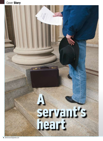## Cover Story

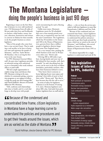# **The Montana Legislature**  doing the people's business in just 90 days

Beginning at noon on the first Monday in January in every odd-numbered year, 150 Montanans from all walks of life put aside their lives and livelihoods as ranchers, tribal leaders, nurses, lawyers, educators, housewives and retirees to convene in Helena for three months to do the people's business as citizen legislators.

"Most of the people who come here have a true servant's heart. They're making a real sacrifice to be here to better our state and represent the people of Montana," said Sen. Taylor Brown (R-Huntley), who is serving his first term in the state Senate.

For PPL Montana's External Affairs staff, the part-time Legislature provides an informal setting with unfettered access to lawmakers who work without offices or paid staffs.

"We have ample opportunities to explain energy issues and discuss what PPL Montana is doing in the state, whether it's community giving, conservation programs or our support of efforts to help the needy pay their heating bills," said David Hoffman, director of External Affairs for PPL Montana.

"Still, coalitions and relationships take time to build, and it's a real challenge to develop trust with people

you're encountering for such a fleeting period," he said.

Unlike most states, Montana's Legislature meets for 90 scheduled days over a four-month period every other year, as required by state law and the state Constitution. The Legislature, which has 50 members in the Senate and 100 in the House of Representatives, governs fewer than a million people in legislative districts larger than some New England states.

"It's a very intense time, packing the whole business of the state in 90 days every other year," Brown said.

"Driving 300 to 400 miles to get here, leaving family and your way of life behind for four months, well, that's stressful," he said, describing how the worry can be seen in the faces of fellow lawmakers, particularly ranchers, who leave their businesses behind to serve.

"They know there's someone at home fighting frozen water pipes and plowing 5-foot drifts of snow to feed their cattle," Brown said. "But they're here because they felt the call to serve."

In terms of salary for legislators, Montana is in the bottom 10 among U.S. states. Montana legislators earn about \$80 a day. And aside from party leaders, legislators have no staff and no

**"**<br> **"**<br>  $\frac{1}{2}$ **EG** Because of the condensed and concentrated time frame, citizen legislators in Montana have a huge learning curve to understand the policies and procedures and to get their heads around the issues, which are as varied as the state of Montana.**"**

David Hoffman, director-External Affairs for PPL Montana

offices — a far cry from the services provided to full-time legislators in states like Pennsylvania, California and New York.

"Because of the condensed and concentrated time frame, citizen legislators in Montana have a huge learning curve to understand the policies and procedures and to get their heads around the issues, which are as varied as the state of Montana," said Hoffman, who served Madison County in the Montana House of Representatives from 1991 to 1993.

"It's almost impossible for a single legislator to understand and read all the

## Key legislative issues of interest to PPL, industry

#### Federal

Climate change Multi-pollutant air legislation Transmission policy Renewable energy standards Nuclear loan guarantees Coal combustion products Taxes

#### Montana

Climate change (carbon sequestration) Hydro expansion as a renewable Water usage rate calculation

#### Pennsylvania

Rate cap expiration, rate mitigation State budget issues Procurement of energy supply Renewable energy, climate change Energy efficiency, conservation Health care